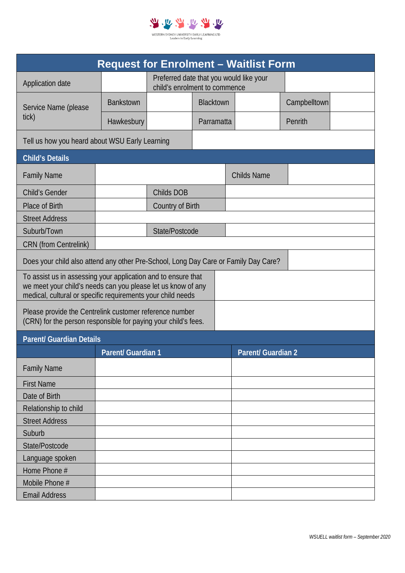

| <b>Request for Enrolment - Waitlist Form</b>                                                                                                                                                 |                           |                                                                          |  |                           |              |  |  |  |  |  |  |
|----------------------------------------------------------------------------------------------------------------------------------------------------------------------------------------------|---------------------------|--------------------------------------------------------------------------|--|---------------------------|--------------|--|--|--|--|--|--|
| Application date                                                                                                                                                                             |                           | Preferred date that you would like your<br>child's enrolment to commence |  |                           |              |  |  |  |  |  |  |
| Service Name (please<br>tick)                                                                                                                                                                | <b>Bankstown</b>          | <b>Blacktown</b>                                                         |  |                           | Campbelltown |  |  |  |  |  |  |
|                                                                                                                                                                                              | Hawkesbury                | Parramatta                                                               |  |                           | Penrith      |  |  |  |  |  |  |
| Tell us how you heard about WSU Early Learning                                                                                                                                               |                           |                                                                          |  |                           |              |  |  |  |  |  |  |
| <b>Child's Details</b>                                                                                                                                                                       |                           |                                                                          |  |                           |              |  |  |  |  |  |  |
| <b>Family Name</b>                                                                                                                                                                           |                           |                                                                          |  | <b>Childs Name</b>        |              |  |  |  |  |  |  |
| <b>Child's Gender</b>                                                                                                                                                                        |                           | Childs DOB                                                               |  |                           |              |  |  |  |  |  |  |
| <b>Place of Birth</b>                                                                                                                                                                        |                           | Country of Birth                                                         |  |                           |              |  |  |  |  |  |  |
| <b>Street Address</b>                                                                                                                                                                        |                           |                                                                          |  |                           |              |  |  |  |  |  |  |
| Suburb/Town                                                                                                                                                                                  |                           | State/Postcode                                                           |  |                           |              |  |  |  |  |  |  |
| <b>CRN</b> (from Centrelink)                                                                                                                                                                 |                           |                                                                          |  |                           |              |  |  |  |  |  |  |
| Does your child also attend any other Pre-School, Long Day Care or Family Day Care?                                                                                                          |                           |                                                                          |  |                           |              |  |  |  |  |  |  |
| To assist us in assessing your application and to ensure that<br>we meet your child's needs can you please let us know of any<br>medical, cultural or specific requirements your child needs |                           |                                                                          |  |                           |              |  |  |  |  |  |  |
| Please provide the Centrelink customer reference number<br>(CRN) for the person responsible for paying your child's fees.                                                                    |                           |                                                                          |  |                           |              |  |  |  |  |  |  |
| <b>Parent/ Guardian Details</b>                                                                                                                                                              |                           |                                                                          |  |                           |              |  |  |  |  |  |  |
|                                                                                                                                                                                              | <b>Parent/ Guardian 1</b> |                                                                          |  | <b>Parent/ Guardian 2</b> |              |  |  |  |  |  |  |
| <b>Family Name</b>                                                                                                                                                                           |                           |                                                                          |  |                           |              |  |  |  |  |  |  |
| <b>First Name</b>                                                                                                                                                                            |                           |                                                                          |  |                           |              |  |  |  |  |  |  |
| Date of Birth                                                                                                                                                                                |                           |                                                                          |  |                           |              |  |  |  |  |  |  |
| Relationship to child                                                                                                                                                                        |                           |                                                                          |  |                           |              |  |  |  |  |  |  |
| <b>Street Address</b>                                                                                                                                                                        |                           |                                                                          |  |                           |              |  |  |  |  |  |  |
| Suburb                                                                                                                                                                                       |                           |                                                                          |  |                           |              |  |  |  |  |  |  |
| State/Postcode                                                                                                                                                                               |                           |                                                                          |  |                           |              |  |  |  |  |  |  |
| Language spoken                                                                                                                                                                              |                           |                                                                          |  |                           |              |  |  |  |  |  |  |
| Home Phone #                                                                                                                                                                                 |                           |                                                                          |  |                           |              |  |  |  |  |  |  |
| Mobile Phone #                                                                                                                                                                               |                           |                                                                          |  |                           |              |  |  |  |  |  |  |
| <b>Email Address</b>                                                                                                                                                                         |                           |                                                                          |  |                           |              |  |  |  |  |  |  |